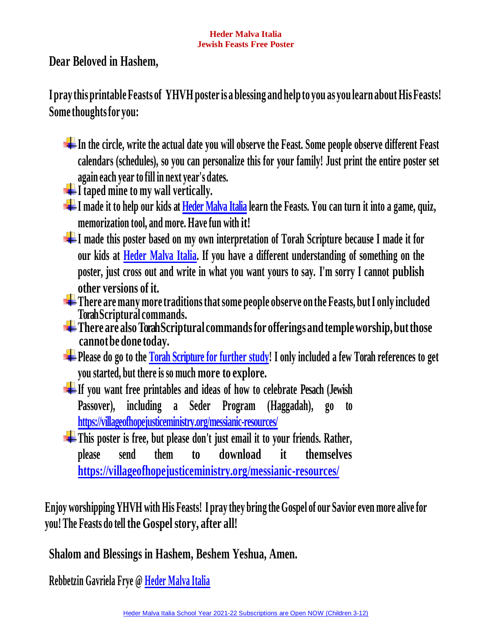**Dear Beloved in Hashem,**

**Ipray this printable Feasts of YHVH poster is a blessing and helpto you as you learn about HisFeasts! Some thoughtsfor you:**

- **In the circle, write the actual date you will observe the Feast. Some people observe different Feast calendars (schedules), so you can personalize this for your family! Just print the entire poster set again each year to fill in next year's dates.**
- **I taped mine to my wall vertically.**
- $\pm$  I made it to help our kids at [Heder Malva Italia](https://villageofhopejusticeministry.files.wordpress.com/2021/03/d797d6b6d793d6b6d7a8-heder-malva-italy.pdf) learn the Feasts. You can turn it into a game, quiz, **memorization tool, and more. Have fun with it!**
- **I made this poster based on my own interpretation of Torah Scripture because I made it for our kids at [Heder Malva Italia.](https://villageofhopejusticeministry.files.wordpress.com/2021/03/d797d6b6d793d6b6d7a8-heder-malva-italy.pdf) If you have a different understanding of something on the poster, just cross out and write in what you want yours to say. I'm sorry I cannot publish other versions of it.**
- **There are many more traditionsthatsome people observe on the Feasts, butI only included Torah Scriptural commands.**
- **There are alsoTorah Scriptural commandsfor offeringsand templeworship,butthose cannotbedone today.**
- **Please do go to the [Torah Scripture for](https://villageofhopejusticeministry.files.wordpress.com/2021/06/would-you-like-to-become-a-friend-of-israel-and-be-part-of-the-jewish-revival-in-the-moshiach-of-the-end-times.pdf) further study! I only included a few Torah references to get you started, but there is so much more to explore.**
- **If you want free printables and ideas of how to celebrate Pesach (Jewish Passover), including a Seder Program (Haggadah), go to <https://villageofhopejusticeministry.org/messianic-resources/>**
- **This poster is free, but please don't just email it to your friends. Rather, please send them to download it themselves <https://villageofhopejusticeministry.org/messianic-resources/>**

Enjoy worshipping YHVH with His Feasts! I pray they bring the Gospel of our Savior even more alive for **you! The Feasts do tell the Gospel story, after all!**

**Shalom and Blessings in Hashem, Beshem Yeshua, Amen.**

**Rebbetzin Gavriela Frye @ [Heder Malva Italia](https://villageofhopejusticeministry.files.wordpress.com/2021/03/d797d6b6d793d6b6d7a8-heder-malva-italy.pdf)**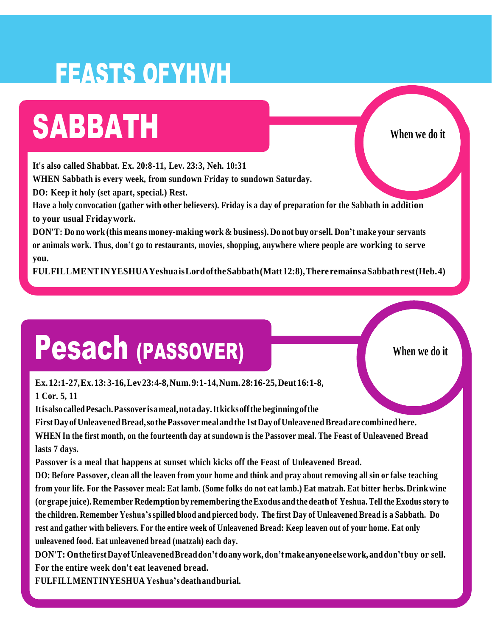### FEASTS OFYHVH

### SABBATH **When we do it**

**It's also called Shabbat. Ex. 20:8-11, Lev. 23:3, Neh. 10:31**

**WHEN Sabbath is every week, from sundown Friday to sundown Saturday.**

**DO: Keep it holy (set apart, special.) Rest.**

Have a holy convocation (gather with other believers). Friday is a day of preparation for the Sabbath in addition **to your usual Fridaywork.**

DON'T: Do no work (this means money-making work & business). Do not buy or sell. Don't make your servants **or animals work. Thus, don't go to restaurants, movies, shopping, anywhere where people are working to serve you.**

**FULFILLMENTINYESHUAYeshuaisLordoftheSabbath(Matt12:8),There remainsaSabbathrest(Heb.4)**

### Pesach (PASSOVER)

**When we do it**

**Ex.12:1-27,Ex.13:3-16,Lev23:4-8,Num.9:1-14,Num.28:16-25,Deut16:1-8, 1 Cor. 5, 11**

**ItisalsocalledPesach.Passoverisameal,notaday.Itkicksoffthebeginningofthe**

**FirstDay ofUnleavenedBread,sothePassover mealandthe1stDay ofUnleavenedBreadare combinedhere.** WHEN In the first month, on the fourteenth day at sundown is the Passover meal. The Feast of Unleavened Bread **lasts 7 days.**

**Passover is a meal that happens at sunset which kicks off the Feast of Unleavened Bread.**

DO: Before Passover, clean all the leaven from your home and think and pray about removing all sin or false teaching from your life. For the Passover meal: Eat lamb. (Some folks do not eat lamb.) Eat matzah. Eat bitter herbs. Drink wine **(or grape juice).Remember Redemptionby remembering theExodus andthe deathof Yeshua. Tell the Exodus story to** the children. Remember Yeshua's spilled blood and pierced body. The first Day of Unleavened Bread is a Sabbath. Do rest and gather with believers. For the entire week of Unleavened Bread: Keep leaven out of your home. Eat only **unleavened food. Eat unleavened bread (matzah) each day.**

**DON'T: Onthe firstDayofUnleavenedBreaddon'tdoanywork,don'tmakeanyone elsework, anddon'tbuy or sell. For the entire week don't eat leavened bread.**

**FULFILLMENTINYESHUA Yeshua'sdeathandburial.**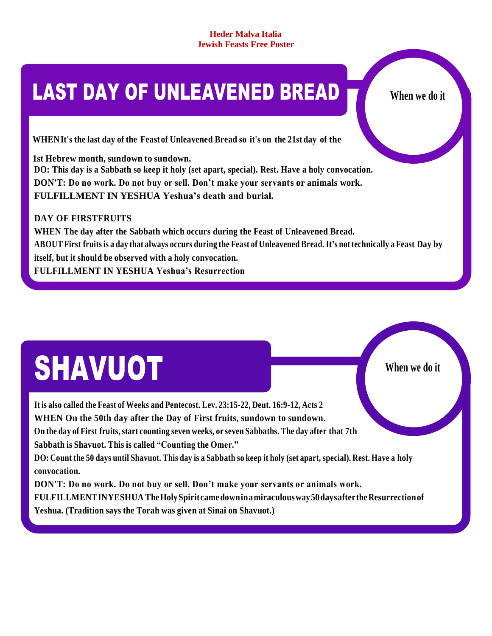### **LAST DAY OF UNLEAVENED BREAD THE When we do it**

 **When we do it**

**WHENIt's the last day of the Feast of Unleavened Bread so it's on the 21st day of the**

**1st Hebrew month, sundown to sundown. DO: This day is a Sabbath so keep it holy (set apart, special). Rest. Have a holy convocation. DON'T: Do no work. Do not buy or sell. Don't make your servants or animals work. FULFILLMENT IN YESHUA Yeshua's death and burial.**

**DAY OF FIRSTFRUITS**

**WHEN The day after the Sabbath which occurs during the Feast of Unleavened Bread.** ABOUT First fruits is a day that always occurs during the Feast of Unleavened Bread. It's not technically a Feast Day by **itself, but it should be observed with a holy convocation. FULFILLMENT IN YESHUA Yeshua's Resurrection**

# SHAVUOT

**It is also called the Feast of Weeks and Pentecost. Lev. 23:15-22, Deut. 16:9-12, Acts 2 WHEN On the 50th day after the Day of First fruits, sundown to sundown. On the day of First fruits,start counting seven weeks, or seven Sabbaths. The day after that 7th Sabbath is Shavuot. This is called "Counting the Omer."** DO: Count the 50 days until Shavuot. This day is a Sabbath so keep it holy (set apart, special). Rest. Have a holy **convocation. DON'T: Do no work. Do not buy or sell. Don't make your servants or animals work. FULFILLMENTINYESHUA TheHolySpiritcamedowninamiraculousway50daysaftertheResurrectionof Yeshua. (Tradition says the Torah was given at Sinai on Shavuot.)**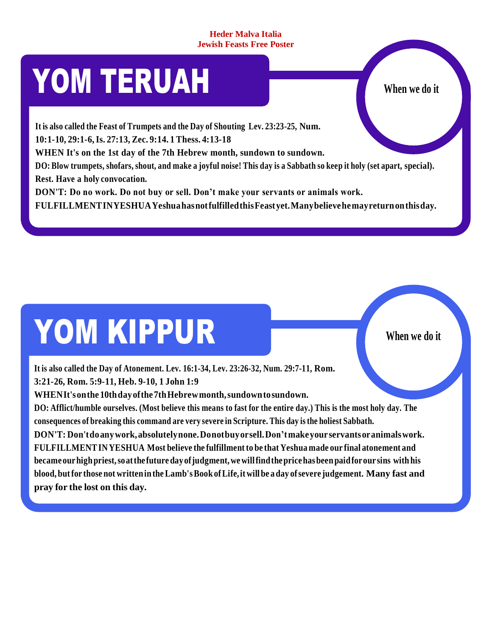### **YOM TERUAH When we do it**

**It is also called the Feast of Trumpets and the Day of Shouting Lev. 23:23-25, Num.**

**10:1-10, 29:1-6,Is. 27:13, Zec. 9:14. 1 Thess. 4:13-18**

**WHEN It's on the 1st day of the 7th Hebrew month, sundown to sundown.**

DO: Blow trumpets, shofars, shout, and make a joyful noise! This day is a Sabbath so keep it holy (set apart, special). **Rest. Have a holy convocation.**

**DON'T: Do no work. Do not buy or sell. Don't make your servants or animals work.**

**FULFILLMENTINYESHUAYeshuahasnotfulfilledthisFeastyet.Manybelievehemayreturnonthisday.**

# YOM KIPPUR

**When we do it**

**It is also called the Day of Atonement. Lev. 16:1-34, Lev. 23:26-32, Num. 29:7-11, Rom. 3:21-26, Rom. 5:9-11, Heb. 9-10, 1 John 1:9 WHENIt'sonthe 10thdayofthe7thHebrewmonth,sundowntosundown.**

DO: Afflict/humble ourselves. (Most believe this means to fast for the entire day.) This is the most holy day. The **consequences of breaking this command are very severe in Scripture. This day isthe holiest Sabbath.**

**DON'T: Don'tdoanywork,absolutelynone.Donotbuyorsell.Don'tmakeyour servantsoranimalswork. FULFILLMENTINYESHUA Most believe the fulfillment to be that Yeshua made our final atonement and becameourhighpriest,soatthe future dayofjudgment,wewillfindthepricehasbeenpaidforour sins with his blood, butfor those not writtenin theLamb'sBook ofLife,it will be aday ofsevere judgement. Many fast and pray for the lost on this day.**